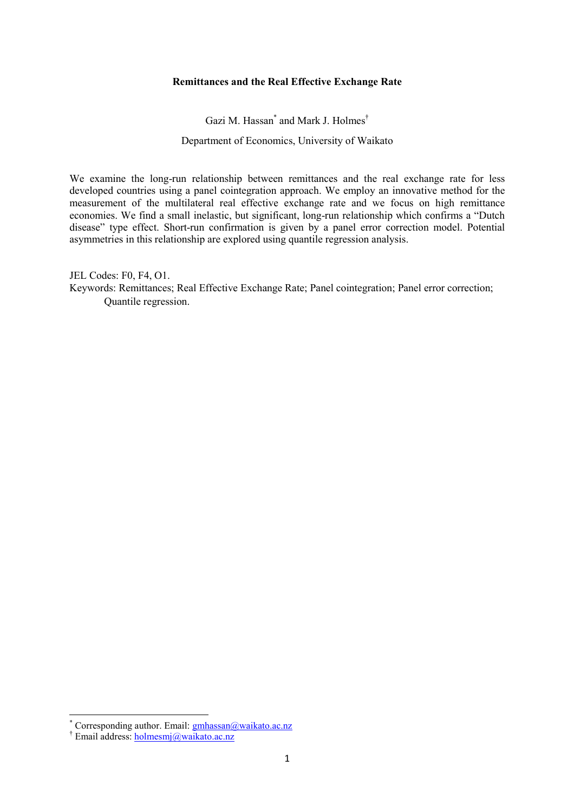## **Remittances and the Real Effective Exchange Rate**

Gazi M. Hassan\* and Mark J. Holmes† Department of Economics, University of Waikato

We examine the long-run relationship between remittances and the real exchange rate for less developed countries using a panel cointegration approach. We employ an innovative method for the measurement of the multilateral real effective exchange rate and we focus on high remittance economies. We find a small inelastic, but significant, long-run relationship which confirms a "Dutch disease" type effect. Short-run confirmation is given by a panel error correction model. Potential asymmetries in this relationship are explored using quantile regression analysis.

JEL Codes: F0, F4, O1. Keywords: Remittances; Real Effective Exchange Rate; Panel cointegration; Panel error correction; Quantile regression.

 $\overline{a}$ 

<sup>\*</sup> Corresponding author. Email: **gmhassan@waikato.ac.nz** 

<sup>&</sup>lt;sup>†</sup> Email address: **holmesmj@waikato.ac.nz**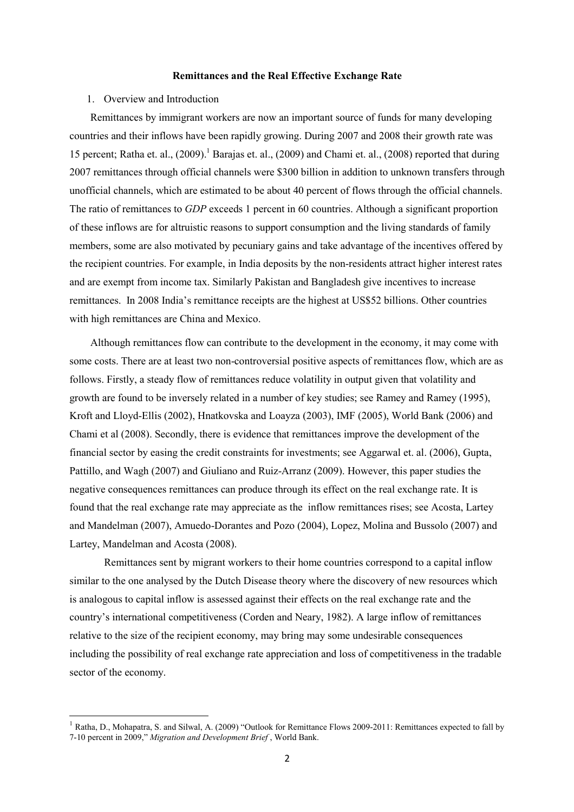#### **Remittances and the Real Effective Exchange Rate**

### 1. Overview and Introduction

 $\overline{a}$ 

Remittances by immigrant workers are now an important source of funds for many developing countries and their inflows have been rapidly growing. During 2007 and 2008 their growth rate was 15 percent; Ratha et. al., (2009).<sup>1</sup> Barajas et. al., (2009) and Chami et. al., (2008) reported that during 2007 remittances through official channels were \$300 billion in addition to unknown transfers through unofficial channels, which are estimated to be about 40 percent of flows through the official channels. The ratio of remittances to *GDP* exceeds 1 percent in 60 countries. Although a significant proportion of these inflows are for altruistic reasons to support consumption and the living standards of family members, some are also motivated by pecuniary gains and take advantage of the incentives offered by the recipient countries. For example, in India deposits by the non-residents attract higher interest rates and are exempt from income tax. Similarly Pakistan and Bangladesh give incentives to increase remittances. In 2008 India's remittance receipts are the highest at US\$52 billions. Other countries with high remittances are China and Mexico.

Although remittances flow can contribute to the development in the economy, it may come with some costs. There are at least two non-controversial positive aspects of remittances flow, which are as follows. Firstly, a steady flow of remittances reduce volatility in output given that volatility and growth are found to be inversely related in a number of key studies; see Ramey and Ramey (1995), Kroft and Lloyd-Ellis (2002), Hnatkovska and Loayza (2003), IMF (2005), World Bank (2006) and Chami et al (2008). Secondly, there is evidence that remittances improve the development of the financial sector by easing the credit constraints for investments; see Aggarwal et. al. (2006), Gupta, Pattillo, and Wagh (2007) and Giuliano and Ruiz-Arranz (2009). However, this paper studies the negative consequences remittances can produce through its effect on the real exchange rate. It is found that the real exchange rate may appreciate as the inflow remittances rises; see Acosta, Lartey and Mandelman (2007), Amuedo-Dorantes and Pozo (2004), Lopez, Molina and Bussolo (2007) and Lartey, Mandelman and Acosta (2008).

 Remittances sent by migrant workers to their home countries correspond to a capital inflow similar to the one analysed by the Dutch Disease theory where the discovery of new resources which is analogous to capital inflow is assessed against their effects on the real exchange rate and the country's international competitiveness (Corden and Neary, 1982). A large inflow of remittances relative to the size of the recipient economy, may bring may some undesirable consequences including the possibility of real exchange rate appreciation and loss of competitiveness in the tradable sector of the economy.

<sup>1</sup> Ratha, D., Mohapatra, S. and Silwal, A. (2009) "Outlook for Remittance Flows 2009-2011: Remittances expected to fall by 7-10 percent in 2009," *Migration and Development Brief* , World Bank.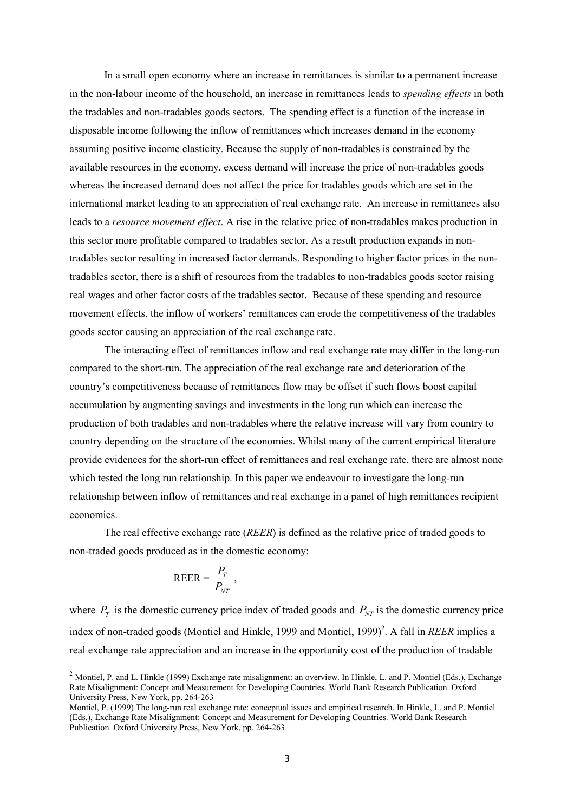In a small open economy where an increase in remittances is similar to a permanent increase in the non-labour income of the household, an increase in remittances leads to *spending effects* in both the tradables and non-tradables goods sectors. The spending effect is a function of the increase in disposable income following the inflow of remittances which increases demand in the economy assuming positive income elasticity. Because the supply of non-tradables is constrained by the available resources in the economy, excess demand will increase the price of non-tradables goods whereas the increased demand does not affect the price for tradables goods which are set in the international market leading to an appreciation of real exchange rate. An increase in remittances also leads to a *resource movement effect*. A rise in the relative price of non-tradables makes production in this sector more profitable compared to tradables sector. As a result production expands in nontradables sector resulting in increased factor demands. Responding to higher factor prices in the nontradables sector, there is a shift of resources from the tradables to non-tradables goods sector raising real wages and other factor costs of the tradables sector. Because of these spending and resource movement effects, the inflow of workers' remittances can erode the competitiveness of the tradables goods sector causing an appreciation of the real exchange rate.

The interacting effect of remittances inflow and real exchange rate may differ in the long-run compared to the short-run. The appreciation of the real exchange rate and deterioration of the country's competitiveness because of remittances flow may be offset if such flows boost capital accumulation by augmenting savings and investments in the long run which can increase the production of both tradables and non-tradables where the relative increase will vary from country to country depending on the structure of the economies. Whilst many of the current empirical literature provide evidences for the short-run effect of remittances and real exchange rate, there are almost none which tested the long run relationship. In this paper we endeavour to investigate the long-run relationship between inflow of remittances and real exchange in a panel of high remittances recipient economies.

The real effective exchange rate (*REER*) is defined as the relative price of traded goods to non-traded goods produced as in the domestic economy:

$$
\text{REER} = \frac{P_T}{P_{NT}},
$$

 $\overline{a}$ 

where  $P_T$  is the domestic currency price index of traded goods and  $P_{NT}$  is the domestic currency price index of non-traded goods (Montiel and Hinkle, 1999 and Montiel, 1999)<sup>2</sup>. A fall in *REER* implies a real exchange rate appreciation and an increase in the opportunity cost of the production of tradable

<sup>&</sup>lt;sup>2</sup> Montiel, P. and L. Hinkle (1999) Exchange rate misalignment: an overview. In Hinkle, L. and P. Montiel (Eds.), Exchange Rate Misalignment: Concept and Measurement for Developing Countries. World Bank Research Publication. Oxford University Press, New York, pp. 264-263

Montiel, P. (1999) The long-run real exchange rate: conceptual issues and empirical research. In Hinkle, L. and P. Montiel (Eds.), Exchange Rate Misalignment: Concept and Measurement for Developing Countries. World Bank Research Publication. Oxford University Press, New York, pp. 264-263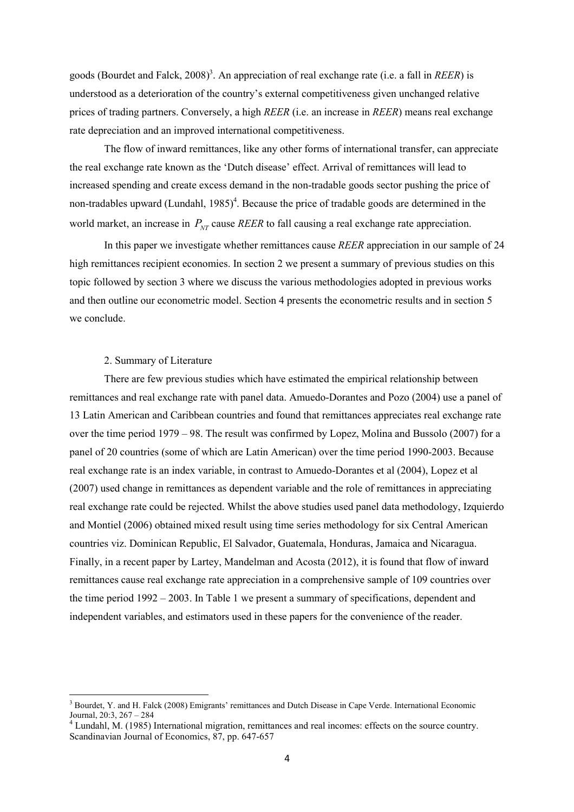goods (Bourdet and Falck, 2008)<sup>3</sup>. An appreciation of real exchange rate (i.e. a fall in *REER*) is understood as a deterioration of the country's external competitiveness given unchanged relative prices of trading partners. Conversely, a high *REER* (i.e. an increase in *REER*) means real exchange rate depreciation and an improved international competitiveness.

 The flow of inward remittances, like any other forms of international transfer, can appreciate the real exchange rate known as the 'Dutch disease' effect. Arrival of remittances will lead to increased spending and create excess demand in the non-tradable goods sector pushing the price of non-tradables upward (Lundahl, 1985)<sup>4</sup>. Because the price of tradable goods are determined in the world market, an increase in  $P_{NT}$  cause *REER* to fall causing a real exchange rate appreciation.

In this paper we investigate whether remittances cause *REER* appreciation in our sample of 24 high remittances recipient economies. In section 2 we present a summary of previous studies on this topic followed by section 3 where we discuss the various methodologies adopted in previous works and then outline our econometric model. Section 4 presents the econometric results and in section 5 we conclude.

### 2. Summary of Literature

 $\overline{a}$ 

There are few previous studies which have estimated the empirical relationship between remittances and real exchange rate with panel data. Amuedo-Dorantes and Pozo (2004) use a panel of 13 Latin American and Caribbean countries and found that remittances appreciates real exchange rate over the time period 1979 – 98. The result was confirmed by Lopez, Molina and Bussolo (2007) for a panel of 20 countries (some of which are Latin American) over the time period 1990-2003. Because real exchange rate is an index variable, in contrast to Amuedo-Dorantes et al (2004), Lopez et al (2007) used change in remittances as dependent variable and the role of remittances in appreciating real exchange rate could be rejected. Whilst the above studies used panel data methodology, Izquierdo and Montiel (2006) obtained mixed result using time series methodology for six Central American countries viz. Dominican Republic, El Salvador, Guatemala, Honduras, Jamaica and Nicaragua. Finally, in a recent paper by Lartey, Mandelman and Acosta (2012), it is found that flow of inward remittances cause real exchange rate appreciation in a comprehensive sample of 109 countries over the time period 1992 – 2003. In Table 1 we present a summary of specifications, dependent and independent variables, and estimators used in these papers for the convenience of the reader.

<sup>&</sup>lt;sup>3</sup> Bourdet, Y. and H. Falck (2008) Emigrants' remittances and Dutch Disease in Cape Verde. International Economic Journal, 20:3, 267 – 284

<sup>&</sup>lt;sup>4</sup> Lundahl, M. (1985) International migration, remittances and real incomes: effects on the source country. Scandinavian Journal of Economics, 87, pp. 647-657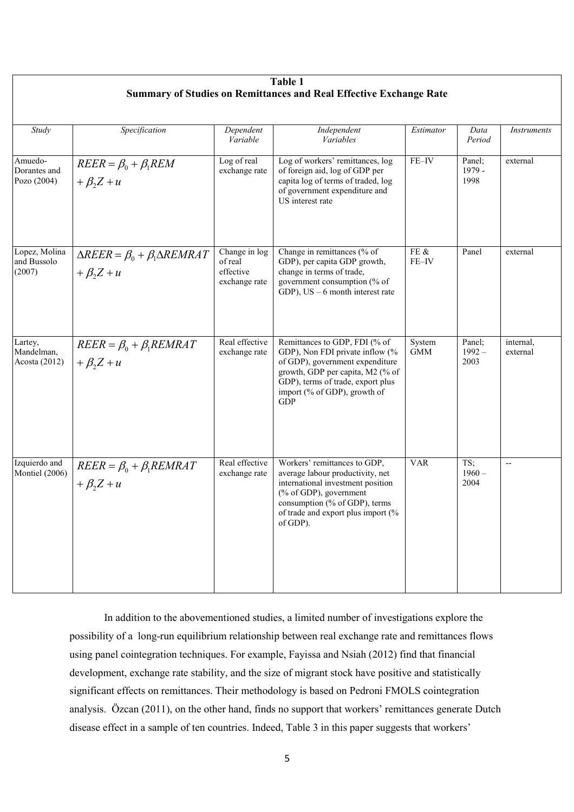| Table 1                                                                   |                                                                           |                                                        |                                                                                                                                                                                                                            |                      |                            |                          |
|---------------------------------------------------------------------------|---------------------------------------------------------------------------|--------------------------------------------------------|----------------------------------------------------------------------------------------------------------------------------------------------------------------------------------------------------------------------------|----------------------|----------------------------|--------------------------|
| <b>Summary of Studies on Remittances and Real Effective Exchange Rate</b> |                                                                           |                                                        |                                                                                                                                                                                                                            |                      |                            |                          |
| Study                                                                     | Specification                                                             | Dependent<br>Variable                                  | Independent<br>Variables                                                                                                                                                                                                   | Estimator            | Data<br>Period             | Instruments              |
| Amuedo-<br>Dorantes and<br>Pozo (2004)                                    | $REER = \beta_0 + \beta_1 REM$<br>$+\beta_2 Z + u$                        | Log of real<br>exchange rate                           | Log of workers' remittances, log<br>of foreign aid, log of GDP per<br>capita log of terms of traded, log<br>of government expenditure and<br>US interest rate                                                              | FE-IV                | Panel:<br>1979 -<br>1998   | external                 |
| Lopez, Molina<br>and Bussolo<br>(2007)                                    | $\triangle REER = \beta_0 + \beta_1 \triangle REMRAT$<br>$+\beta_2 Z + u$ | Change in log<br>of real<br>effective<br>exchange rate | Change in remittances (% of<br>GDP), per capita GDP growth,<br>change in terms of trade,<br>government consumption (% of<br>GDP), $US - 6$ month interest rate                                                             | FE $\&$<br>FE-IV     | Panel                      | external                 |
| Lartey,<br>Mandelman,<br>Acosta (2012)                                    | $REER = \beta_0 + \beta_1 REMRAT$<br>$+\beta_2 Z + u$                     | Real effective<br>exchange rate                        | Remittances to GDP, FDI (% of<br>GDP), Non FDI private inflow (%<br>of GDP), government expenditure<br>growth, GDP per capita, M2 (% of<br>GDP), terms of trade, export plus<br>import (% of GDP), growth of<br><b>GDP</b> | System<br><b>GMM</b> | Panel:<br>$1992 -$<br>2003 | internal,<br>external    |
| Izquierdo and<br>Montiel (2006)                                           | $REER = \beta_0 + \beta_1 REMRAT$<br>$+\beta_2 Z + u$                     | Real effective<br>exchange rate                        | Workers' remittances to GDP,<br>average labour productivity, net<br>international investment position<br>(% of GDP), government<br>consumption (% of GDP), terms<br>of trade and export plus import (%<br>of GDP).         | <b>VAR</b>           | TS;<br>$1960 -$<br>2004    | $\overline{\phantom{a}}$ |

 In addition to the abovementioned studies, a limited number of investigations explore the possibility of a long-run equilibrium relationship between real exchange rate and remittances flows using panel cointegration techniques. For example, Fayissa and Nsiah (2012) find that financial development, exchange rate stability, and the size of migrant stock have positive and statistically significant effects on remittances. Their methodology is based on Pedroni FMOLS cointegration analysis. Özcan (2011), on the other hand, finds no support that workers' remittances generate Dutch disease effect in a sample of ten countries. Indeed, Table 3 in this paper suggests that workers'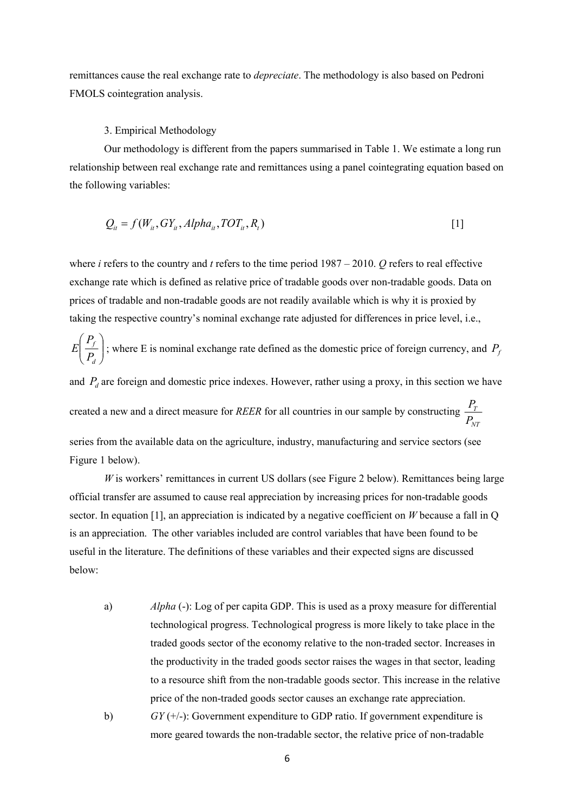remittances cause the real exchange rate to *depreciate*. The methodology is also based on Pedroni FMOLS cointegration analysis.

### 3. Empirical Methodology

Our methodology is different from the papers summarised in Table 1. We estimate a long run relationship between real exchange rate and remittances using a panel cointegrating equation based on the following variables:

$$
Q_{it} = f(W_{it}, GY_{it}, Alpha_{it}, TOT_{it}, R_t)
$$
\n
$$
\tag{1}
$$

where *i* refers to the country and *t* refers to the time period 1987 – 2010. *Q* refers to real effective exchange rate which is defined as relative price of tradable goods over non-tradable goods. Data on prices of tradable and non-tradable goods are not readily available which is why it is proxied by taking the respective country's nominal exchange rate adjusted for differences in price level, i.e.,

 $\overline{\phantom{a}}$ J  $\backslash$  $\overline{\phantom{a}}$ l ſ *d f P P*  $E\left[\frac{f}{R}\right]$ ; where E is nominal exchange rate defined as the domestic price of foreign currency, and  $P_f$ and  $P_d$  are foreign and domestic price indexes. However, rather using a proxy, in this section we have created a new and a direct measure for *REER* for all countries in our sample by constructing  $\frac{T_I}{T}$ *NT P P* series from the available data on the agriculture, industry, manufacturing and service sectors (see Figure 1 below).

*W* is workers' remittances in current US dollars (see Figure 2 below). Remittances being large official transfer are assumed to cause real appreciation by increasing prices for non-tradable goods sector. In equation [1], an appreciation is indicated by a negative coefficient on *W* because a fall in Q is an appreciation. The other variables included are control variables that have been found to be useful in the literature. The definitions of these variables and their expected signs are discussed below:

a) *Alpha* (-): Log of per capita GDP. This is used as a proxy measure for differential technological progress. Technological progress is more likely to take place in the traded goods sector of the economy relative to the non-traded sector. Increases in the productivity in the traded goods sector raises the wages in that sector, leading to a resource shift from the non-tradable goods sector. This increase in the relative price of the non-traded goods sector causes an exchange rate appreciation. b) *GY* (+/-): Government expenditure to GDP ratio. If government expenditure is more geared towards the non-tradable sector, the relative price of non-tradable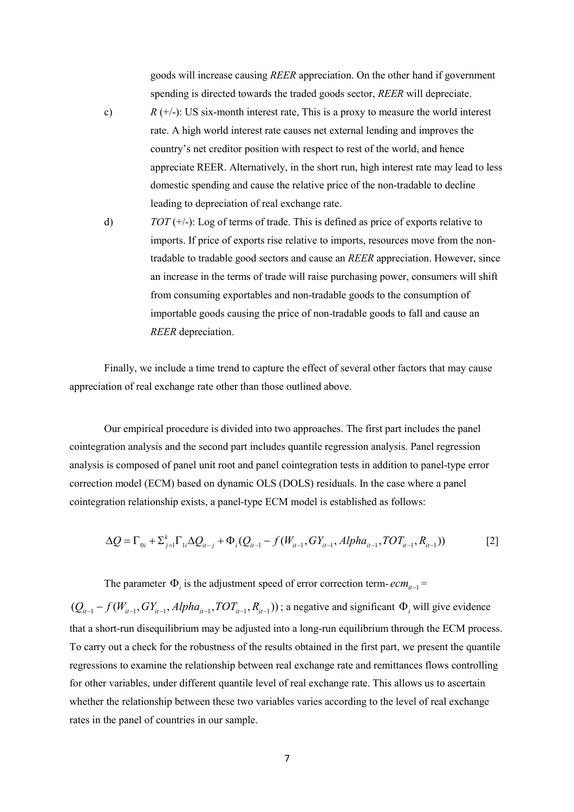goods will increase causing *REER* appreciation. On the other hand if government spending is directed towards the traded goods sector, *REER* will depreciate.

- c)  $R (+/-)$ : US six-month interest rate, This is a proxy to measure the world interest rate. A high world interest rate causes net external lending and improves the country's net creditor position with respect to rest of the world, and hence appreciate REER. Alternatively, in the short run, high interest rate may lead to less domestic spending and cause the relative price of the non-tradable to decline leading to depreciation of real exchange rate.
- d)  $TOT (+/-): Log of terms of trade. This is defined as price of exports relative to$ imports. If price of exports rise relative to imports, resources move from the nontradable to tradable good sectors and cause an *REER* appreciation. However, since an increase in the terms of trade will raise purchasing power, consumers will shift from consuming exportables and non-tradable goods to the consumption of importable goods causing the price of non-tradable goods to fall and cause an *REER* depreciation.

Finally, we include a time trend to capture the effect of several other factors that may cause appreciation of real exchange rate other than those outlined above.

 Our empirical procedure is divided into two approaches. The first part includes the panel cointegration analysis and the second part includes quantile regression analysis. Panel regression analysis is composed of panel unit root and panel cointegration tests in addition to panel-type error correction model (ECM) based on dynamic OLS (DOLS) residuals. In the case where a panel cointegration relationship exists, a panel-type ECM model is established as follows:

$$
\Delta Q = \Gamma_{0i} + \Sigma_{j=1}^{k} \Gamma_{1i} \Delta Q_{it-j} + \Phi_i (Q_{it-1} - f(W_{it-1}, GY_{it-1}, Alpha_{it-1}, TOT_{it-1}, R_{it-1}))
$$
\n[2]

The parameter  $\Phi_i$  is the adjustment speed of error correction term- $ecm_{i-1}$  =

 $(Q_{i-1} - f(W_{i-1}, GY_{i-1}, Alpha_{i-1}, TOT_{i-1}, R_{i-1}))$ ; a negative and significant  $\Phi_i$  will give evidence that a short-run disequilibrium may be adjusted into a long-run equilibrium through the ECM process. To carry out a check for the robustness of the results obtained in the first part, we present the quantile regressions to examine the relationship between real exchange rate and remittances flows controlling for other variables, under different quantile level of real exchange rate. This allows us to ascertain whether the relationship between these two variables varies according to the level of real exchange rates in the panel of countries in our sample.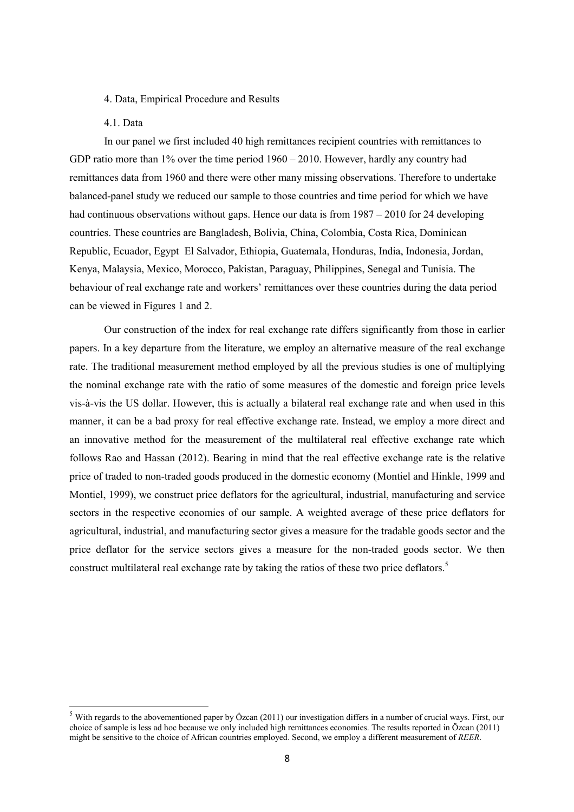#### 4. Data, Empirical Procedure and Results

## 4.1. Data

l

 In our panel we first included 40 high remittances recipient countries with remittances to GDP ratio more than  $1\%$  over the time period  $1960 - 2010$ . However, hardly any country had remittances data from 1960 and there were other many missing observations. Therefore to undertake balanced-panel study we reduced our sample to those countries and time period for which we have had continuous observations without gaps. Hence our data is from 1987 – 2010 for 24 developing countries. These countries are Bangladesh, Bolivia, China, Colombia, Costa Rica, Dominican Republic, Ecuador, Egypt El Salvador, Ethiopia, Guatemala, Honduras, India, Indonesia, Jordan, Kenya, Malaysia, Mexico, Morocco, Pakistan, Paraguay, Philippines, Senegal and Tunisia. The behaviour of real exchange rate and workers' remittances over these countries during the data period can be viewed in Figures 1 and 2.

Our construction of the index for real exchange rate differs significantly from those in earlier papers. In a key departure from the literature, we employ an alternative measure of the real exchange rate. The traditional measurement method employed by all the previous studies is one of multiplying the nominal exchange rate with the ratio of some measures of the domestic and foreign price levels vis-à-vis the US dollar. However, this is actually a bilateral real exchange rate and when used in this manner, it can be a bad proxy for real effective exchange rate. Instead, we employ a more direct and an innovative method for the measurement of the multilateral real effective exchange rate which follows Rao and Hassan (2012). Bearing in mind that the real effective exchange rate is the relative price of traded to non-traded goods produced in the domestic economy (Montiel and Hinkle, 1999 and Montiel, 1999), we construct price deflators for the agricultural, industrial, manufacturing and service sectors in the respective economies of our sample. A weighted average of these price deflators for agricultural, industrial, and manufacturing sector gives a measure for the tradable goods sector and the price deflator for the service sectors gives a measure for the non-traded goods sector. We then construct multilateral real exchange rate by taking the ratios of these two price deflators.<sup>5</sup>

 $5$  With regards to the abovementioned paper by Özcan (2011) our investigation differs in a number of crucial ways. First, our choice of sample is less ad hoc because we only included high remittances economies. The results reported in Özcan (2011) might be sensitive to the choice of African countries employed. Second, we employ a different measurement of *REER*.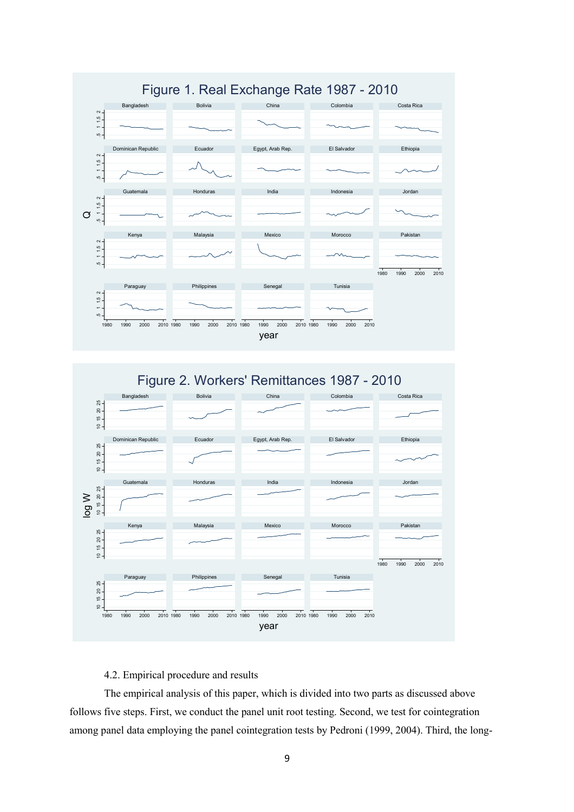

# 4.2. Empirical procedure and results

 The empirical analysis of this paper, which is divided into two parts as discussed above follows five steps. First, we conduct the panel unit root testing. Second, we test for cointegration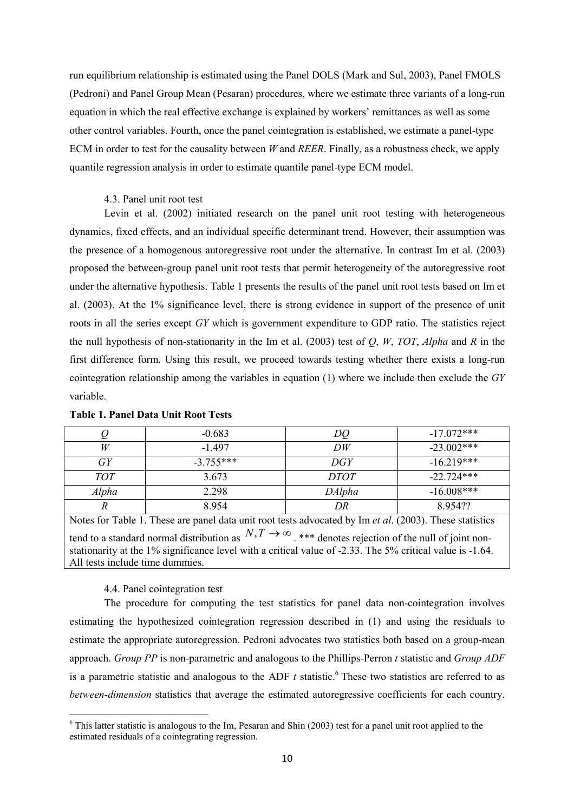run equilibrium relationship is estimated using the Panel DOLS (Mark and Sul, 2003), Panel FMOLS (Pedroni) and Panel Group Mean (Pesaran) procedures, where we estimate three variants of a long-run equation in which the real effective exchange is explained by workers' remittances as well as some other control variables. Fourth, once the panel cointegration is established, we estimate a panel-type ECM in order to test for the causality between *W* and *REER*. Finally, as a robustness check, we apply quantile regression analysis in order to estimate quantile panel-type ECM model.

## 4.3. Panel unit root test

Levin et al. (2002) initiated research on the panel unit root testing with heterogeneous dynamics, fixed effects, and an individual specific determinant trend. However, their assumption was the presence of a homogenous autoregressive root under the alternative. In contrast Im et al. (2003) proposed the between-group panel unit root tests that permit heterogeneity of the autoregressive root under the alternative hypothesis. Table 1 presents the results of the panel unit root tests based on Im et al. (2003). At the 1% significance level, there is strong evidence in support of the presence of unit roots in all the series except *GY* which is government expenditure to GDP ratio. The statistics reject the null hypothesis of non-stationarity in the Im et al. (2003) test of *Q*, *W*, *TOT*, *Alpha* and *R* in the first difference form. Using this result, we proceed towards testing whether there exists a long-run cointegration relationship among the variables in equation (1) where we include then exclude the *GY* variable.

|              | $-0.683$    |             | $-17.072***$ |
|--------------|-------------|-------------|--------------|
| W            | $-1497$     | DW          | $-23.002***$ |
| GУ           | $-3.755***$ | DGY         | $-16.219***$ |
| <i>TOT</i>   | 3.673       | <i>DTOT</i> | $-22.724***$ |
| Alpha        | 2.298       | DAlpha      | $-16.008***$ |
| $\mathbf{v}$ | 8954        | DR          | 895422       |

### **Table 1. Panel Data Unit Root Tests**

Notes for Table 1. These are panel data unit root tests advocated by Im *et al*. (2003). These statistics tend to a standard normal distribution as  $N, T \to \infty$ , \*\*\* denotes rejection of the null of joint nonstationarity at the 1% significance level with a critical value of -2.33. The 5% critical value is -1.64. All tests include time dummies.

### 4.4. Panel cointegration test

 $\overline{a}$ 

The procedure for computing the test statistics for panel data non-cointegration involves estimating the hypothesized cointegration regression described in (1) and using the residuals to estimate the appropriate autoregression. Pedroni advocates two statistics both based on a group-mean approach. *Group PP* is non-parametric and analogous to the Phillips-Perron *t* statistic and *Group ADF* is a parametric statistic and analogous to the ADF  $t$  statistic.<sup>6</sup> These two statistics are referred to as *between-dimension* statistics that average the estimated autoregressive coefficients for each country.

 $6$  This latter statistic is analogous to the Im, Pesaran and Shin (2003) test for a panel unit root applied to the estimated residuals of a cointegrating regression.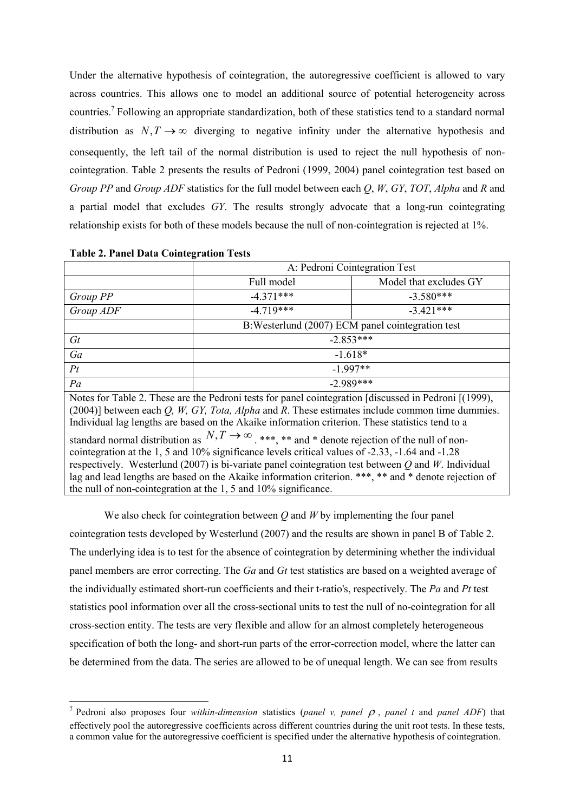Under the alternative hypothesis of cointegration, the autoregressive coefficient is allowed to vary across countries. This allows one to model an additional source of potential heterogeneity across countries.<sup>7</sup> Following an appropriate standardization, both of these statistics tend to a standard normal distribution as  $N, T \rightarrow \infty$  diverging to negative infinity under the alternative hypothesis and consequently, the left tail of the normal distribution is used to reject the null hypothesis of noncointegration. Table 2 presents the results of Pedroni (1999, 2004) panel cointegration test based on *Group PP* and *Group ADF* statistics for the full model between each *Q*, *W*, *GY*, *TOT*, *Alpha* and *R* and a partial model that excludes *GY*. The results strongly advocate that a long-run cointegrating relationship exists for both of these models because the null of non-cointegration is rejected at 1%.

|                                                                                                                                                                                                                                                                                                                                                                                                                                                                                                                                                                                                                                                                                                                                                                                                                         | A: Pedroni Cointegration Test                     |                        |  |  |  |
|-------------------------------------------------------------------------------------------------------------------------------------------------------------------------------------------------------------------------------------------------------------------------------------------------------------------------------------------------------------------------------------------------------------------------------------------------------------------------------------------------------------------------------------------------------------------------------------------------------------------------------------------------------------------------------------------------------------------------------------------------------------------------------------------------------------------------|---------------------------------------------------|------------------------|--|--|--|
|                                                                                                                                                                                                                                                                                                                                                                                                                                                                                                                                                                                                                                                                                                                                                                                                                         | Full model                                        | Model that excludes GY |  |  |  |
| Group PP                                                                                                                                                                                                                                                                                                                                                                                                                                                                                                                                                                                                                                                                                                                                                                                                                | $-4.371***$                                       | $-3.580***$            |  |  |  |
| Group ADF                                                                                                                                                                                                                                                                                                                                                                                                                                                                                                                                                                                                                                                                                                                                                                                                               | $-4.719***$                                       | $-3421***$             |  |  |  |
|                                                                                                                                                                                                                                                                                                                                                                                                                                                                                                                                                                                                                                                                                                                                                                                                                         | B: Westerlund (2007) ECM panel cointegration test |                        |  |  |  |
| $G_t$                                                                                                                                                                                                                                                                                                                                                                                                                                                                                                                                                                                                                                                                                                                                                                                                                   | $-2.853***$                                       |                        |  |  |  |
| Ga                                                                                                                                                                                                                                                                                                                                                                                                                                                                                                                                                                                                                                                                                                                                                                                                                      | $-1.618*$                                         |                        |  |  |  |
| Pt                                                                                                                                                                                                                                                                                                                                                                                                                                                                                                                                                                                                                                                                                                                                                                                                                      | $-1.997**$                                        |                        |  |  |  |
| Pa                                                                                                                                                                                                                                                                                                                                                                                                                                                                                                                                                                                                                                                                                                                                                                                                                      | $-2.989***$                                       |                        |  |  |  |
| Notes for Table 2. These are the Pedroni tests for panel cointegration [discussed in Pedroni [(1999),<br>$(2004)$ ] between each Q, W, GY, Tota, Alpha and R. These estimates include common time dummies.<br>Individual lag lengths are based on the Akaike information criterion. These statistics tend to a<br>standard normal distribution as $N, T \rightarrow \infty$ , ***, ** and * denote rejection of the null of non-<br>cointegration at the 1, 5 and 10% significance levels critical values of -2.33, -1.64 and -1.28<br>respectively. Westerlund (2007) is bi-variate panel cointegration test between $Q$ and W. Individual<br>lag and lead lengths are based on the Akaike information criterion. ***, ** and * denote rejection of<br>the null of non-cointegration at the 1, 5 and 10% significance. |                                                   |                        |  |  |  |

#### **Table 2. Panel Data Cointegration Tests**

 $\overline{a}$ 

We also check for cointegration between *Q* and *W* by implementing the four panel cointegration tests developed by Westerlund (2007) and the results are shown in panel B of Table 2. The underlying idea is to test for the absence of cointegration by determining whether the individual panel members are error correcting. The *Ga* and *Gt* test statistics are based on a weighted average of the individually estimated short-run coefficients and their t-ratio's, respectively. The *Pa* and *Pt* test statistics pool information over all the cross-sectional units to test the null of no-cointegration for all cross-section entity. The tests are very flexible and allow for an almost completely heterogeneous specification of both the long- and short-run parts of the error-correction model, where the latter can be determined from the data. The series are allowed to be of unequal length. We can see from results

<sup>&</sup>lt;sup>7</sup> Pedroni also proposes four *within-dimension* statistics (*panel v, panel*  $\rho$ *, panel t* and *panel ADF*) that effectively pool the autoregressive coefficients across different countries during the unit root tests. In these tests, a common value for the autoregressive coefficient is specified under the alternative hypothesis of cointegration.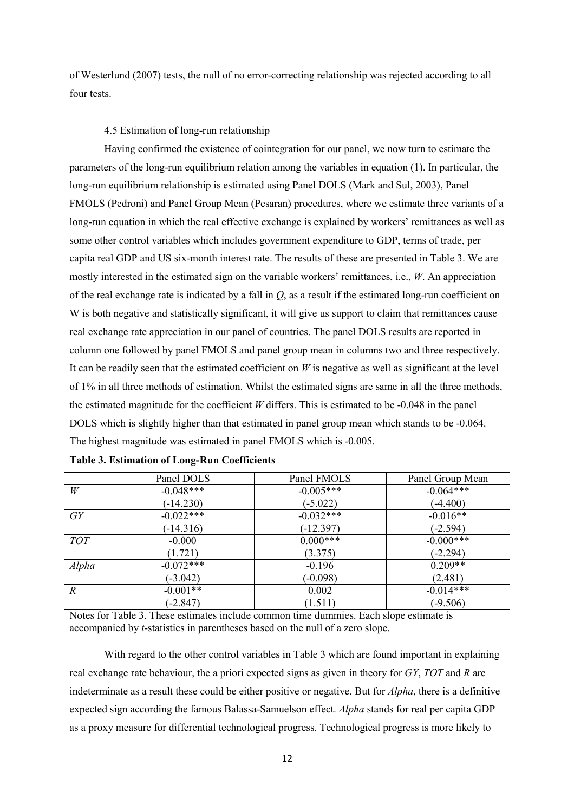of Westerlund (2007) tests, the null of no error-correcting relationship was rejected according to all four tests.

### 4.5 Estimation of long-run relationship

Having confirmed the existence of cointegration for our panel, we now turn to estimate the parameters of the long-run equilibrium relation among the variables in equation (1). In particular, the long-run equilibrium relationship is estimated using Panel DOLS (Mark and Sul, 2003), Panel FMOLS (Pedroni) and Panel Group Mean (Pesaran) procedures, where we estimate three variants of a long-run equation in which the real effective exchange is explained by workers' remittances as well as some other control variables which includes government expenditure to GDP, terms of trade, per capita real GDP and US six-month interest rate. The results of these are presented in Table 3. We are mostly interested in the estimated sign on the variable workers' remittances, i.e., *W*. An appreciation of the real exchange rate is indicated by a fall in *Q*, as a result if the estimated long-run coefficient on W is both negative and statistically significant, it will give us support to claim that remittances cause real exchange rate appreciation in our panel of countries. The panel DOLS results are reported in column one followed by panel FMOLS and panel group mean in columns two and three respectively. It can be readily seen that the estimated coefficient on *W* is negative as well as significant at the level of 1% in all three methods of estimation. Whilst the estimated signs are same in all the three methods, the estimated magnitude for the coefficient *W* differs. This is estimated to be -0.048 in the panel DOLS which is slightly higher than that estimated in panel group mean which stands to be -0.064. The highest magnitude was estimated in panel FMOLS which is -0.005.

|                                                                                        | Panel DOLS  | Panel FMOLS | Panel Group Mean |  |  |
|----------------------------------------------------------------------------------------|-------------|-------------|------------------|--|--|
| W                                                                                      | $-0.048***$ | $-0.005***$ | $-0.064***$      |  |  |
|                                                                                        | $(-14.230)$ | $(-5.022)$  | $(-4.400)$       |  |  |
| $G$ Y                                                                                  | $-0.022***$ | $-0.032***$ | $-0.016**$       |  |  |
|                                                                                        | $(-14.316)$ | $(-12.397)$ | $(-2.594)$       |  |  |
| <b>TOT</b>                                                                             | $-0.000$    | $0.000***$  | $-0.000$ ***     |  |  |
|                                                                                        | (1.721)     | (3.375)     | $(-2.294)$       |  |  |
| Alpha                                                                                  | $-0.072***$ | $-0.196$    | $0.209**$        |  |  |
|                                                                                        | $(-3.042)$  | $(-0.098)$  | (2.481)          |  |  |
| $\overline{R}$                                                                         | $-0.001**$  | 0.002       | $-0.014***$      |  |  |
|                                                                                        | $(-2.847)$  | (1.511)     | $(-9.506)$       |  |  |
| Notes for Table 3. These estimates include common time dummies. Each slope estimate is |             |             |                  |  |  |
| accompanied by <i>t</i> -statistics in parentheses based on the null of a zero slope.  |             |             |                  |  |  |

|  |  |  |  | Table 3. Estimation of Long-Run Coefficients |
|--|--|--|--|----------------------------------------------|
|--|--|--|--|----------------------------------------------|

With regard to the other control variables in Table 3 which are found important in explaining real exchange rate behaviour, the a priori expected signs as given in theory for *GY*, *TOT* and *R* are indeterminate as a result these could be either positive or negative. But for *Alpha*, there is a definitive expected sign according the famous Balassa-Samuelson effect. *Alpha* stands for real per capita GDP as a proxy measure for differential technological progress. Technological progress is more likely to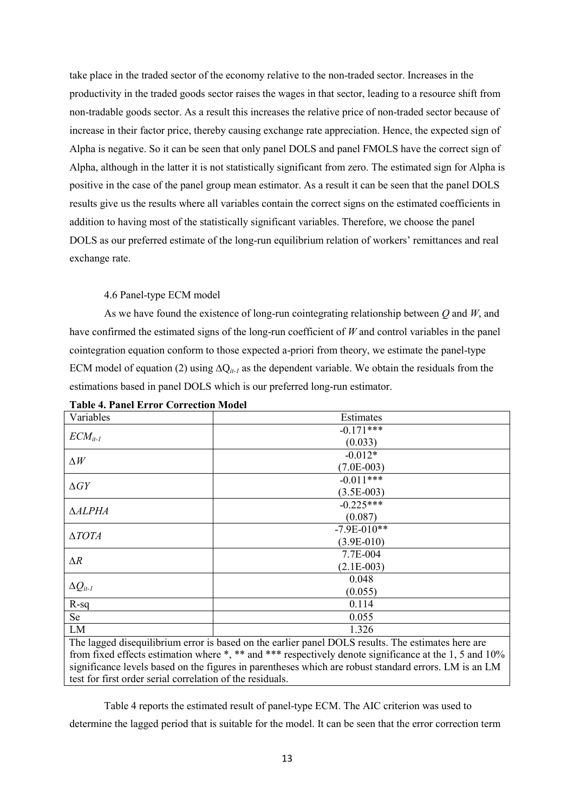take place in the traded sector of the economy relative to the non-traded sector. Increases in the productivity in the traded goods sector raises the wages in that sector, leading to a resource shift from non-tradable goods sector. As a result this increases the relative price of non-traded sector because of increase in their factor price, thereby causing exchange rate appreciation. Hence, the expected sign of Alpha is negative. So it can be seen that only panel DOLS and panel FMOLS have the correct sign of Alpha, although in the latter it is not statistically significant from zero. The estimated sign for Alpha is positive in the case of the panel group mean estimator. As a result it can be seen that the panel DOLS results give us the results where all variables contain the correct signs on the estimated coefficients in addition to having most of the statistically significant variables. Therefore, we choose the panel DOLS as our preferred estimate of the long-run equilibrium relation of workers' remittances and real exchange rate.

# 4.6 Panel-type ECM model

As we have found the existence of long-run cointegrating relationship between *Q* and *W*, and have confirmed the estimated signs of the long-run coefficient of *W* and control variables in the panel cointegration equation conform to those expected a-priori from theory, we estimate the panel-type ECM model of equation (2) using ∆Q*it-1* as the dependent variable. We obtain the residuals from the estimations based in panel DOLS which is our preferred long-run estimator.

| Variables         | Estimates                                                                                           |  |  |  |
|-------------------|-----------------------------------------------------------------------------------------------------|--|--|--|
|                   | $-0.171***$                                                                                         |  |  |  |
| $ECM_{it-l}$      | (0.033)                                                                                             |  |  |  |
|                   | $-0.012*$                                                                                           |  |  |  |
| $\Delta W$        | $(7.0E-003)$                                                                                        |  |  |  |
|                   | $-0.011***$                                                                                         |  |  |  |
| $\Delta GY$       | $(3.5E-003)$                                                                                        |  |  |  |
|                   | $-0.225***$                                                                                         |  |  |  |
| <b>AALPHA</b>     | (0.087)                                                                                             |  |  |  |
|                   | $-7.9E - 010**$                                                                                     |  |  |  |
| $\triangle TOTA$  | $(3.9E-010)$                                                                                        |  |  |  |
|                   | 7.7E-004                                                                                            |  |  |  |
| $\Delta R$        | $(2.1E-003)$                                                                                        |  |  |  |
|                   | 0.048                                                                                               |  |  |  |
| $\Delta Q_{it-l}$ | (0.055)                                                                                             |  |  |  |
| $R-sq$            | 0.114                                                                                               |  |  |  |
| Se                | 0.055                                                                                               |  |  |  |
| LM                | 1.326                                                                                               |  |  |  |
|                   | The lagged disequilibrium error is based on the earlier panel DOI S results. The estimates here are |  |  |  |

**Table 4. Panel Error Correction Model** 

The lagged disequilibrium error is based on the earlier panel DOLS results. The estimates here are from fixed effects estimation where \*, \*\* and \*\*\* respectively denote significance at the 1, 5 and 10% significance levels based on the figures in parentheses which are robust standard errors. LM is an LM test for first order serial correlation of the residuals.

Table 4 reports the estimated result of panel-type ECM. The AIC criterion was used to determine the lagged period that is suitable for the model. It can be seen that the error correction term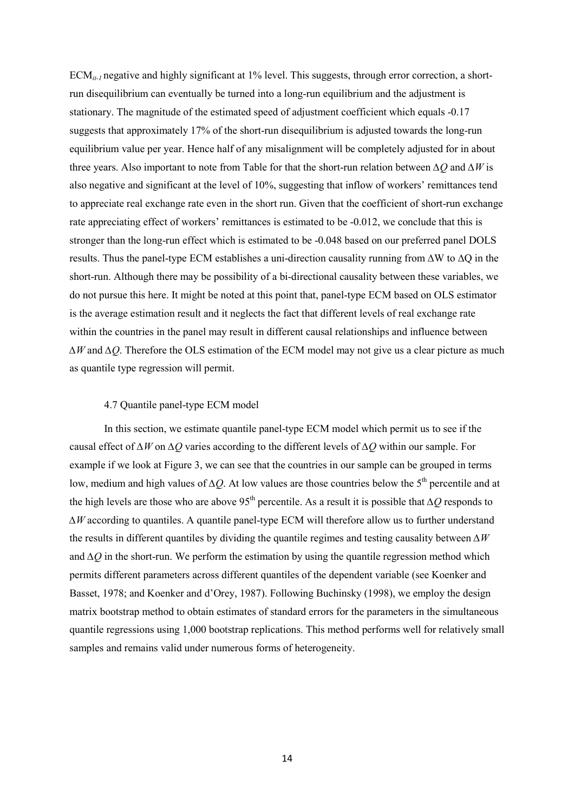ECM*it-1* negative and highly significant at 1% level. This suggests, through error correction, a shortrun disequilibrium can eventually be turned into a long-run equilibrium and the adjustment is stationary. The magnitude of the estimated speed of adjustment coefficient which equals -0.17 suggests that approximately 17% of the short-run disequilibrium is adjusted towards the long-run equilibrium value per year. Hence half of any misalignment will be completely adjusted for in about three years. Also important to note from Table for that the short-run relation between *∆Q* and *∆W* is also negative and significant at the level of 10%, suggesting that inflow of workers' remittances tend to appreciate real exchange rate even in the short run. Given that the coefficient of short-run exchange rate appreciating effect of workers' remittances is estimated to be -0.012, we conclude that this is stronger than the long-run effect which is estimated to be -0.048 based on our preferred panel DOLS results. Thus the panel-type ECM establishes a uni-direction causality running from ∆W to ∆Q in the short-run. Although there may be possibility of a bi-directional causality between these variables, we do not pursue this here. It might be noted at this point that, panel-type ECM based on OLS estimator is the average estimation result and it neglects the fact that different levels of real exchange rate within the countries in the panel may result in different causal relationships and influence between *∆W* and *∆Q*. Therefore the OLS estimation of the ECM model may not give us a clear picture as much as quantile type regression will permit.

#### 4.7 Quantile panel-type ECM model

In this section, we estimate quantile panel-type ECM model which permit us to see if the causal effect of *∆W* on *∆Q* varies according to the different levels of *∆Q* within our sample. For example if we look at Figure 3, we can see that the countries in our sample can be grouped in terms low, medium and high values of *∆Q*. At low values are those countries below the 5<sup>th</sup> percentile and at the high levels are those who are above 95th percentile. As a result it is possible that *∆Q* responds to *∆W* according to quantiles. A quantile panel-type ECM will therefore allow us to further understand the results in different quantiles by dividing the quantile regimes and testing causality between *∆W* and *∆Q* in the short-run. We perform the estimation by using the quantile regression method which permits different parameters across different quantiles of the dependent variable (see Koenker and Basset, 1978; and Koenker and d'Orey, 1987). Following Buchinsky (1998), we employ the design matrix bootstrap method to obtain estimates of standard errors for the parameters in the simultaneous quantile regressions using 1,000 bootstrap replications. This method performs well for relatively small samples and remains valid under numerous forms of heterogeneity.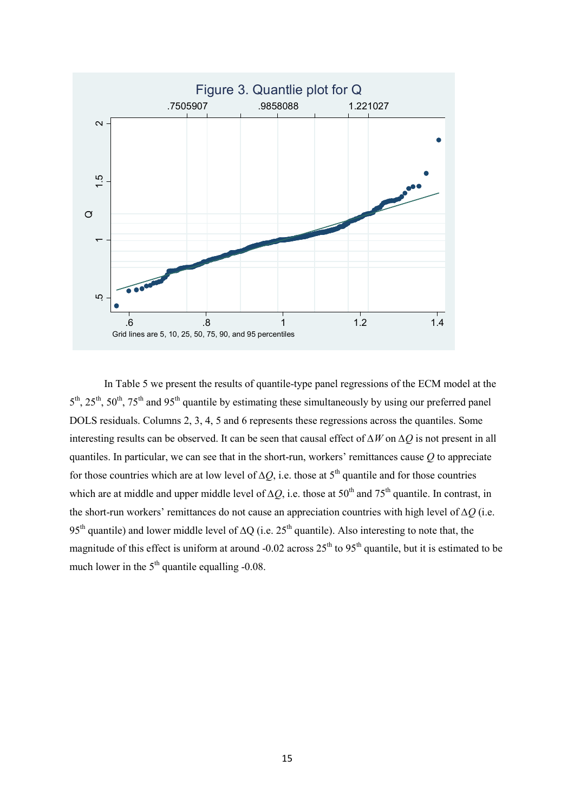

 In Table 5 we present the results of quantile-type panel regressions of the ECM model at the  $5<sup>th</sup>$ ,  $25<sup>th</sup>$ ,  $50<sup>th</sup>$ ,  $75<sup>th</sup>$  and  $95<sup>th</sup>$  quantile by estimating these simultaneously by using our preferred panel DOLS residuals. Columns 2, 3, 4, 5 and 6 represents these regressions across the quantiles. Some interesting results can be observed. It can be seen that causal effect of *∆W* on *∆Q* is not present in all quantiles. In particular, we can see that in the short-run, workers' remittances cause *Q* to appreciate for those countries which are at low level of  $\Delta Q$ , i.e. those at 5<sup>th</sup> quantile and for those countries which are at middle and upper middle level of  $\Delta Q$ , i.e. those at 50<sup>th</sup> and 75<sup>th</sup> quantile. In contrast, in the short-run workers' remittances do not cause an appreciation countries with high level of *∆Q* (i.e. 95<sup>th</sup> quantile) and lower middle level of ∆Q (i.e. 25<sup>th</sup> quantile). Also interesting to note that, the magnitude of this effect is uniform at around -0.02 across  $25<sup>th</sup>$  to  $95<sup>th</sup>$  quantile, but it is estimated to be much lower in the 5<sup>th</sup> quantile elvel of  $\Delta$ given the first quantile of this effect is uniform and the set of quantile step and the set quantile by estimation of the sequantiles. In particular, we can see that in the s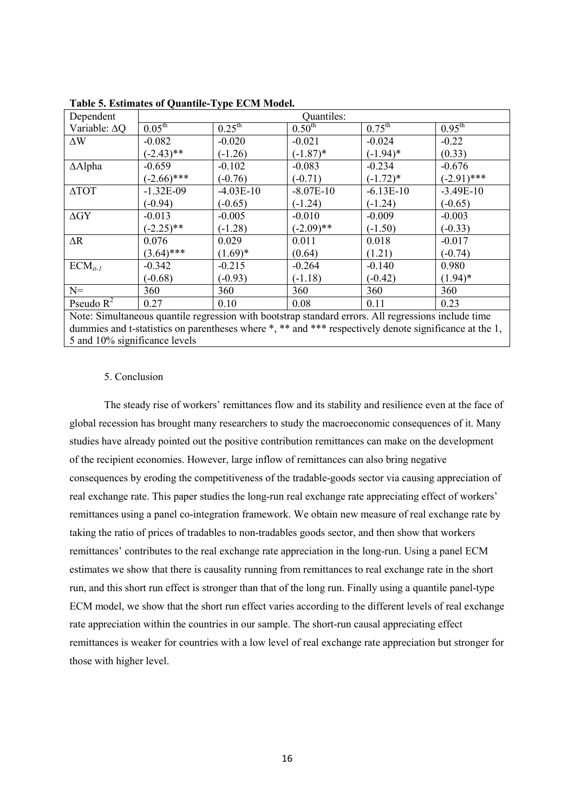| Dependent            | Quantiles:         |                    |              |                    |                    |
|----------------------|--------------------|--------------------|--------------|--------------------|--------------------|
| Variable: $\Delta Q$ | $0.05^{\text{th}}$ | $0.25^{\text{th}}$ | $0.50^{th}$  | $0.75^{\text{th}}$ | $0.95^{\text{th}}$ |
| $\Delta \rm{W}$      | $-0.082$           | $-0.020$           | $-0.021$     | $-0.024$           | $-0.22$            |
|                      | $(-2.43)$ **       | $(-1.26)$          | $(-1.87)^*$  | $(-1.94)^*$        | (0.33)             |
| $\Delta$ Alpha       | $-0.659$           | $-0.102$           | $-0.083$     | $-0.234$           | $-0.676$           |
|                      | $(-2.66)$ ***      | $(-0.76)$          | $(-0.71)$    | $(-1.72)^*$        | $(-2.91)$ ***      |
| $\Delta$ TOT         | $-1.32E-09$        | $-4.03E-10$        | $-8.07E-10$  | $-6.13E-10$        | $-3.49E-10$        |
|                      | $(-0.94)$          | $(-0.65)$          | $(-1.24)$    | $(-1.24)$          | $(-0.65)$          |
| $\Delta G$ Y         | $-0.013$           | $-0.005$           | $-0.010$     | $-0.009$           | $-0.003$           |
|                      | $(-2.25)$ **       | $(-1.28)$          | $(-2.09)$ ** | $(-1.50)$          | $(-0.33)$          |
| $\Delta R$           | 0.076              | 0.029              | 0.011        | 0.018              | $-0.017$           |
|                      | $(3.64)$ ***       | $(1.69)^*$         | (0.64)       | (1.21)             | $(-0.74)$          |
| $ECM_{it-l}$         | $-0.342$           | $-0.215$           | $-0.264$     | $-0.140$           | 0.980              |
|                      | $(-0.68)$          | $(-0.93)$          | $(-1.18)$    | $(-0.42)$          | $(1.94)^*$         |
| $N=$                 | 360                | 360                | 360          | 360                | 360                |
| Pseudo $R^2$         | 0.27               | 0.10               | 0.08         | 0.11               | 0.23               |

**Table 5. Estimates of Quantile-Type ECM Model.** 

Note: Simultaneous quantile regression with bootstrap standard errors. All regressions include time dummies and t-statistics on parentheses where \*, \*\* and \*\*\* respectively denote significance at the 1, 5 and 10% significance levels

# 5. Conclusion

The steady rise of workers' remittances flow and its stability and resilience even at the face of global recession has brought many researchers to study the macroeconomic consequences of it. Many studies have already pointed out the positive contribution remittances can make on the development of the recipient economies. However, large inflow of remittances can also bring negative consequences by eroding the competitiveness of the tradable-goods sector via causing appreciation of real exchange rate. This paper studies the long-run real exchange rate appreciating effect of workers' remittances using a panel co-integration framework. We obtain new measure of real exchange rate by taking the ratio of prices of tradables to non-tradables goods sector, and then show that workers remittances' contributes to the real exchange rate appreciation in the long-run. Using a panel ECM estimates we show that there is causality running from remittances to real exchange rate in the short run, and this short run effect is stronger than that of the long run. Finally using a quantile panel-type ECM model, we show that the short run effect varies according to the different levels of real exchange rate appreciation within the countries in our sample. The short-run causal appreciating effect remittances is weaker for countries with a low level of real exchange rate appreciation but stronger for those with higher level.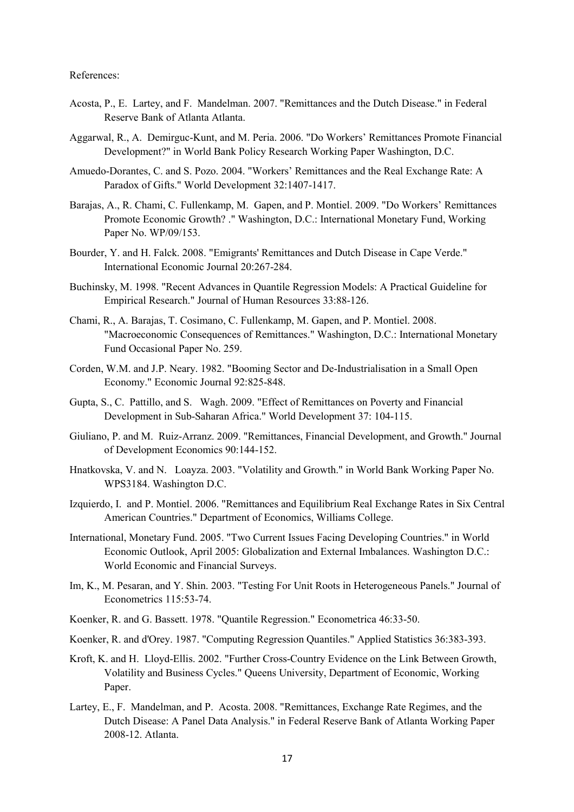### References:

- Acosta, P., E. Lartey, and F. Mandelman. 2007. "Remittances and the Dutch Disease." in Federal Reserve Bank of Atlanta Atlanta.
- Aggarwal, R., A. Demirguc-Kunt, and M. Peria. 2006. "Do Workers' Remittances Promote Financial Development?" in World Bank Policy Research Working Paper Washington, D.C.
- Amuedo-Dorantes, C. and S. Pozo. 2004. "Workers' Remittances and the Real Exchange Rate: A Paradox of Gifts." World Development 32:1407-1417.
- Barajas, A., R. Chami, C. Fullenkamp, M. Gapen, and P. Montiel. 2009. "Do Workers' Remittances Promote Economic Growth? ." Washington, D.C.: International Monetary Fund, Working Paper No. WP/09/153.
- Bourder, Y. and H. Falck. 2008. "Emigrants' Remittances and Dutch Disease in Cape Verde." International Economic Journal 20:267-284.
- Buchinsky, M. 1998. "Recent Advances in Quantile Regression Models: A Practical Guideline for Empirical Research." Journal of Human Resources 33:88-126.
- Chami, R., A. Barajas, T. Cosimano, C. Fullenkamp, M. Gapen, and P. Montiel. 2008. "Macroeconomic Consequences of Remittances." Washington, D.C.: International Monetary Fund Occasional Paper No. 259.
- Corden, W.M. and J.P. Neary. 1982. "Booming Sector and De-Industrialisation in a Small Open Economy." Economic Journal 92:825-848.
- Gupta, S., C. Pattillo, and S. Wagh. 2009. "Effect of Remittances on Poverty and Financial Development in Sub-Saharan Africa." World Development 37: 104-115.
- Giuliano, P. and M. Ruiz-Arranz. 2009. "Remittances, Financial Development, and Growth." Journal of Development Economics 90:144-152.
- Hnatkovska, V. and N. Loayza. 2003. "Volatility and Growth." in World Bank Working Paper No. WPS3184. Washington D.C.
- Izquierdo, I. and P. Montiel. 2006. "Remittances and Equilibrium Real Exchange Rates in Six Central American Countries." Department of Economics, Williams College.
- International, Monetary Fund. 2005. "Two Current Issues Facing Developing Countries." in World Economic Outlook, April 2005: Globalization and External Imbalances. Washington D.C.: World Economic and Financial Surveys.
- Im, K., M. Pesaran, and Y. Shin. 2003. "Testing For Unit Roots in Heterogeneous Panels." Journal of Econometrics 115:53-74.
- Koenker, R. and G. Bassett. 1978. "Quantile Regression." Econometrica 46:33-50.
- Koenker, R. and d'Orey. 1987. "Computing Regression Quantiles." Applied Statistics 36:383-393.
- Kroft, K. and H. Lloyd-Ellis. 2002. "Further Cross-Country Evidence on the Link Between Growth, Volatility and Business Cycles." Queens University, Department of Economic, Working Paper.
- Lartey, E., F. Mandelman, and P. Acosta. 2008. "Remittances, Exchange Rate Regimes, and the Dutch Disease: A Panel Data Analysis." in Federal Reserve Bank of Atlanta Working Paper 2008-12. Atlanta.